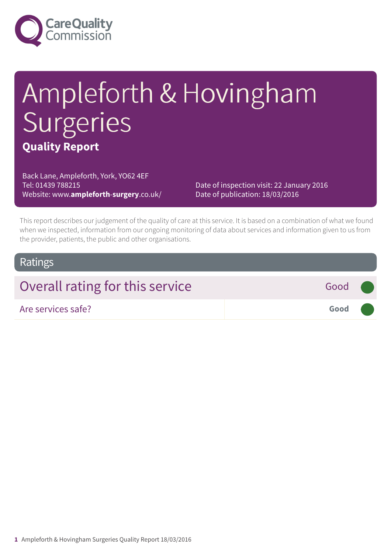

## Ampleforth & Hovingham Surgeries **Quality Report**

Back Lane, Ampleforth, York, YO62 4EF Tel: 01439 788215 Website: www.**ampleforth**-**surgery**.co.uk/

Date of inspection visit: 22 January 2016 Date of publication: 18/03/2016

This report describes our judgement of the quality of care at this service. It is based on a combination of what we found when we inspected, information from our ongoing monitoring of data about services and information given to us from the provider, patients, the public and other organisations.

#### Ratings

| Overall rating for this service | Good ( |  |
|---------------------------------|--------|--|
| Are services safe?              | Good   |  |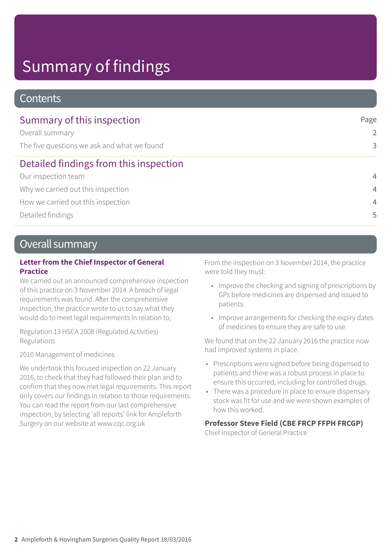### Summary of findings

#### **Contents**

| Summary of this inspection                  | Page           |
|---------------------------------------------|----------------|
| Overall summary                             | $\overline{2}$ |
| The five questions we ask and what we found | 3              |
| Detailed findings from this inspection      |                |
| Our inspection team                         | $\overline{4}$ |
| Why we carried out this inspection          | $\overline{4}$ |
| How we carried out this inspection          | $\overline{4}$ |
| Detailed findings                           | 5              |

#### Overall summary

#### **Letter from the Chief Inspector of General Practice**

We carried out an announced comprehensive inspection of this practice on 3 November 2014. A breach of legal requirements was found. After the comprehensive inspection, the practice wrote to us to say what they would do to meet legal requirements in relation to;

Regulation 13 HSCA 2008 (Regulated Activities) Regulations

2010 Management of medicines

We undertook this focused inspection on 22 January 2016, to check that they had followed their plan and to confirm that they now met legal requirements. This report only covers our findings in relation to those requirements. You can read the report from our last comprehensive inspection, by selecting 'all reports' link for Ampleforth Surgery on our website at www.cqc.org.uk

From the inspection on 3 November 2014, the practice were told they must:

- Improve the checking and signing of prescriptions by GPs before medicines are dispensed and issued to patients.
- Improve arrangements for checking the expiry dates of medicines to ensure they are safe to use.

We found that on the 22 January 2016 the practice now had improved systems in place.

- Prescriptions were signed before being dispensed to patients and there was a robust process in place to ensure this occurred, including for controlled drugs.
- There was a procedure in place to ensure dispensary stock was fit for use and we were shown examples of how this worked.

#### **Professor Steve Field (CBE FRCP FFPH FRCGP)**

Chief Inspector of General Practice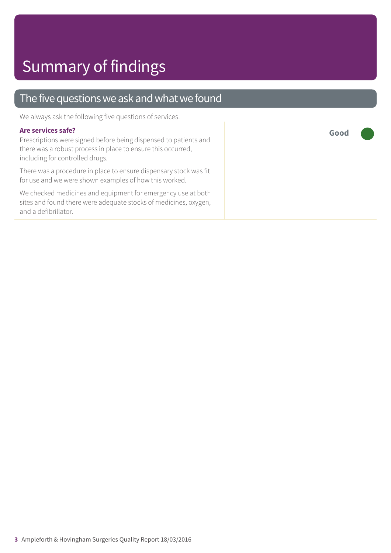#### The five questions we ask and what we found

We always ask the following five questions of services.

#### **Are services safe?**

Prescriptions were signed before being dispensed to patients and there was a robust process in place to ensure this occurred, including for controlled drugs.

There was a procedure in place to ensure dispensary stock was fit for use and we were shown examples of how this worked.

We checked medicines and equipment for emergency use at both sites and found there were adequate stocks of medicines, oxygen, and a defibrillator.

**Good –––**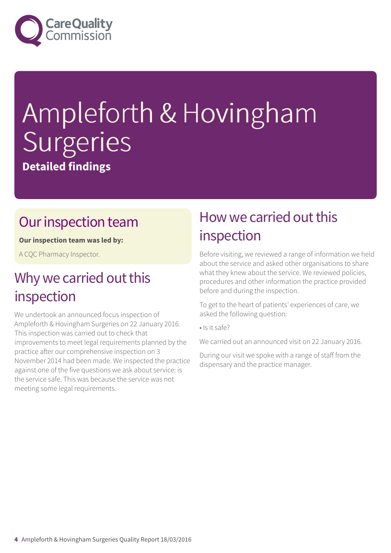

# Ampleforth & Hovingham Surgeries

**Detailed findings**

### Our inspection team

**Our inspection team was led by:**

A CQC Pharmacy Inspector.

### Why we carried out this inspection

We undertook an announced focus inspection of Ampleforth & Hovingham Surgeries on 22 January 2016. This inspection was carried out to check that improvements to meet legal requirements planned by the practice after our comprehensive inspection on 3 November 2014 had been made. We inspected the practice against one of the five questions we ask about service: is the service safe. This was because the service was not meeting some legal requirements.

### How we carried out this inspection

Before visiting, we reviewed a range of information we held about the service and asked other organisations to share what they knew about the service. We reviewed policies, procedures and other information the practice provided before and during the inspection.

To get to the heart of patients' experiences of care, we asked the following question:

• Is it safe?

We carried out an announced visit on 22 January 2016.

During our visit we spoke with a range of staff from the dispensary and the practice manager.